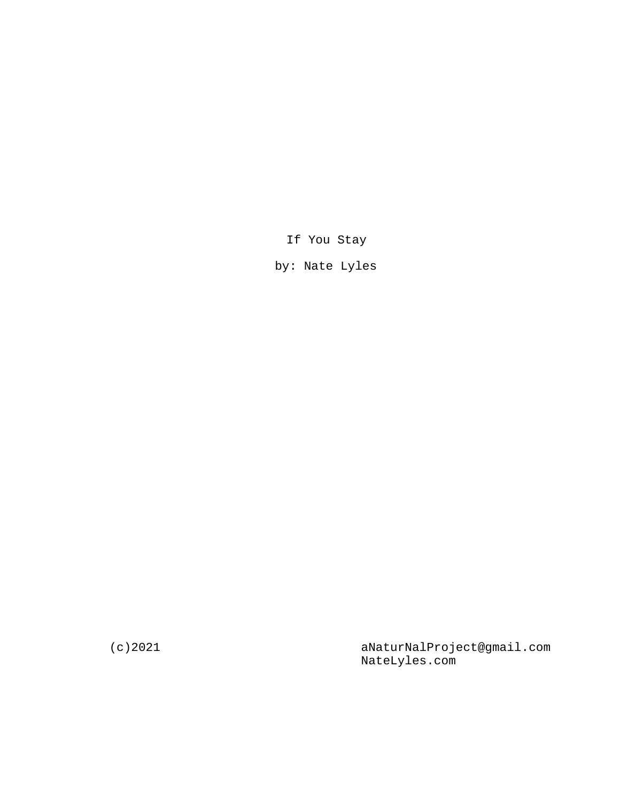If You Stay

by: Nate Lyles

(c)2021 aNaturNalProject@gmail.com NateLyles.com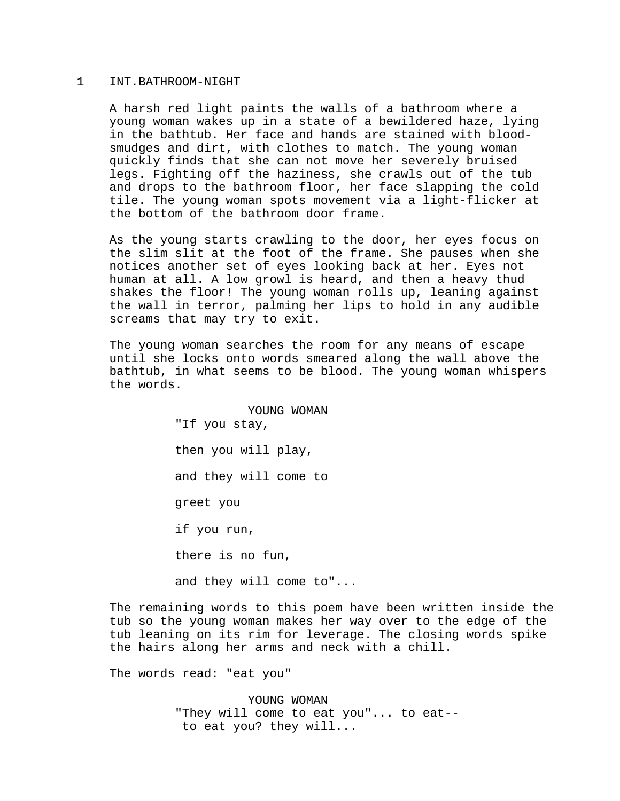## 1 INT.BATHROOM-NIGHT

A harsh red light paints the walls of a bathroom where a young woman wakes up in a state of a bewildered haze, lying in the bathtub. Her face and hands are stained with bloodsmudges and dirt, with clothes to match. The young woman quickly finds that she can not move her severely bruised legs. Fighting off the haziness, she crawls out of the tub and drops to the bathroom floor, her face slapping the cold tile. The young woman spots movement via a light-flicker at the bottom of the bathroom door frame.

As the young starts crawling to the door, her eyes focus on the slim slit at the foot of the frame. She pauses when she notices another set of eyes looking back at her. Eyes not human at all. A low growl is heard, and then a heavy thud shakes the floor! The young woman rolls up, leaning against the wall in terror, palming her lips to hold in any audible screams that may try to exit.

The young woman searches the room for any means of escape until she locks onto words smeared along the wall above the bathtub, in what seems to be blood. The young woman whispers the words.

> YOUNG WOMAN "If you stay, then you will play, and they will come to greet you if you run, there is no fun,

> and they will come to"...

The remaining words to this poem have been written inside the tub so the young woman makes her way over to the edge of the tub leaning on its rim for leverage. The closing words spike the hairs along her arms and neck with a chill.

The words read: "eat you"

YOUNG WOMAN "They will come to eat you"... to eat- to eat you? they will...